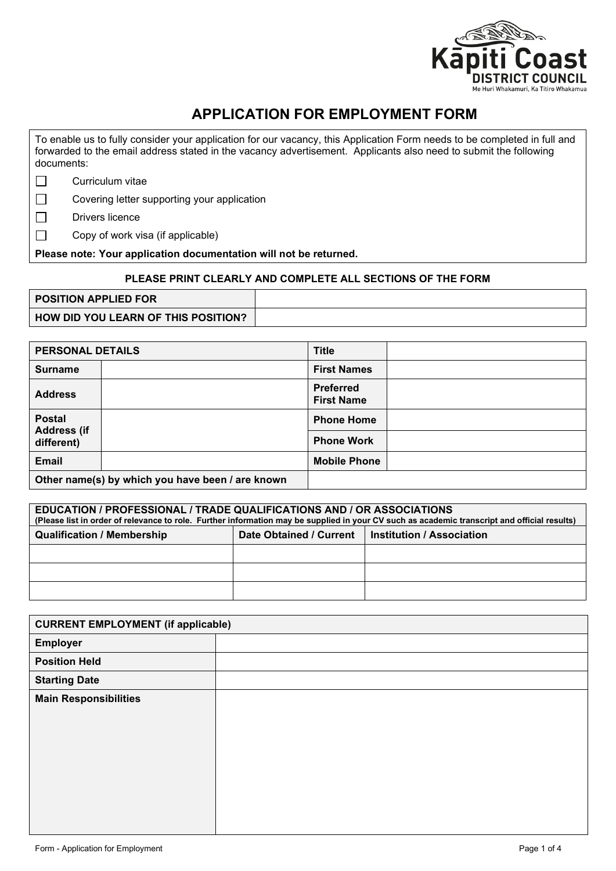

## **APPLICATION FOR EMPLOYMENT FORM**

To enable us to fully consider your application for our vacancy, this Application Form needs to be completed in full and forwarded to the email address stated in the vacancy advertisement. Applicants also need to submit the following documents:

 $\Box$ Curriculum vitae

 $\Box$ Covering letter supporting your application

 $\Box$ Drivers licence

 $\Box$ Copy of work visa (if applicable)

**Please note: Your application documentation will not be returned.**

## **PLEASE PRINT CLEARLY AND COMPLETE ALL SECTIONS OF THE FORM**

| <b>POSITION APPLIED FOR</b>                |  |
|--------------------------------------------|--|
| <b>HOW DID YOU LEARN OF THIS POSITION?</b> |  |

| <b>PERSONAL DETAILS</b>          |                                                  | <b>Title</b>                          |  |
|----------------------------------|--------------------------------------------------|---------------------------------------|--|
| <b>Surname</b>                   |                                                  | <b>First Names</b>                    |  |
| <b>Address</b>                   |                                                  | <b>Preferred</b><br><b>First Name</b> |  |
| <b>Postal</b>                    |                                                  | <b>Phone Home</b>                     |  |
| <b>Address (if</b><br>different) |                                                  | <b>Phone Work</b>                     |  |
| <b>Email</b>                     |                                                  | <b>Mobile Phone</b>                   |  |
|                                  | Other name(s) by which you have been / are known |                                       |  |

## **EDUCATION / PROFESSIONAL / TRADE QUALIFICATIONS AND / OR ASSOCIATIONS (Please list in order of relevance to role. Further information may be supplied in your CV such as academic transcript and official results) Qualification / Membership Date Obtained / Current Institution / Association**

| <b>CURRENT EMPLOYMENT (if applicable)</b> |  |
|-------------------------------------------|--|
| <b>Employer</b>                           |  |
| <b>Position Held</b>                      |  |
| <b>Starting Date</b>                      |  |
| <b>Main Responsibilities</b>              |  |
|                                           |  |
|                                           |  |
|                                           |  |
|                                           |  |
|                                           |  |
|                                           |  |
|                                           |  |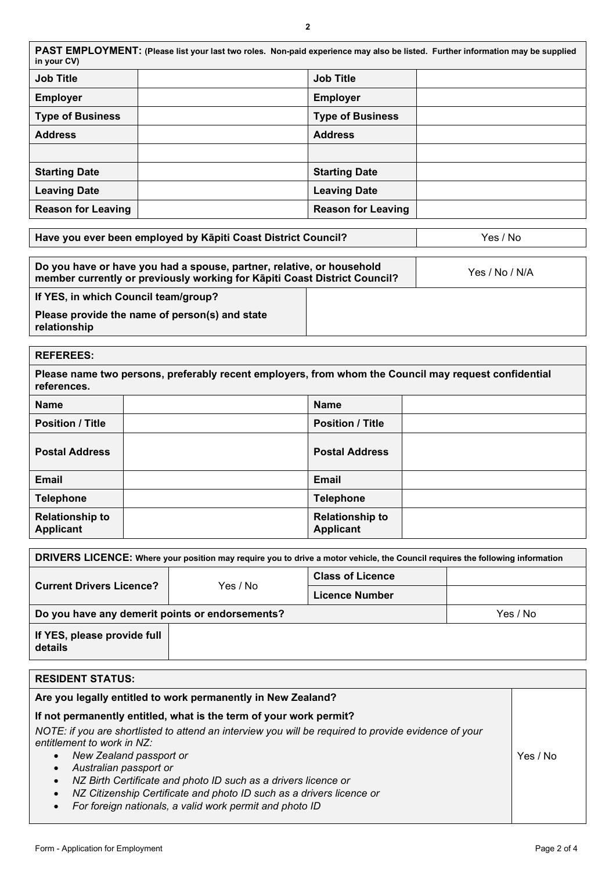| PAST EMPLOYMENT: (Please list your last two roles. Non-paid experience may also be listed. Further information may be supplied<br>in your CV) |  |                           |  |
|-----------------------------------------------------------------------------------------------------------------------------------------------|--|---------------------------|--|
| <b>Job Title</b>                                                                                                                              |  | <b>Job Title</b>          |  |
| <b>Employer</b>                                                                                                                               |  | <b>Employer</b>           |  |
| <b>Type of Business</b>                                                                                                                       |  | <b>Type of Business</b>   |  |
| <b>Address</b>                                                                                                                                |  | <b>Address</b>            |  |
|                                                                                                                                               |  |                           |  |
| <b>Starting Date</b>                                                                                                                          |  | <b>Starting Date</b>      |  |
| <b>Leaving Date</b>                                                                                                                           |  | <b>Leaving Date</b>       |  |
| <b>Reason for Leaving</b>                                                                                                                     |  | <b>Reason for Leaving</b> |  |

| Have you ever been employed by Kapiti Coast District Council?                                                                                      |  | Yes / No       |  |
|----------------------------------------------------------------------------------------------------------------------------------------------------|--|----------------|--|
|                                                                                                                                                    |  |                |  |
| Do you have or have you had a spouse, partner, relative, or household<br>member currently or previously working for Kāpiti Coast District Council? |  | Yes / No / N/A |  |
| If YES, in which Council team/group?                                                                                                               |  |                |  |

**Please provide the name of person(s) and state relationship**

| <b>REFEREES:</b>                                                                                                    |  |                                            |  |
|---------------------------------------------------------------------------------------------------------------------|--|--------------------------------------------|--|
| Please name two persons, preferably recent employers, from whom the Council may request confidential<br>references. |  |                                            |  |
| <b>Name</b>                                                                                                         |  | <b>Name</b>                                |  |
| <b>Position / Title</b>                                                                                             |  | <b>Position / Title</b>                    |  |
| <b>Postal Address</b>                                                                                               |  | <b>Postal Address</b>                      |  |
| <b>Email</b>                                                                                                        |  | Email                                      |  |
| <b>Telephone</b>                                                                                                    |  | <b>Telephone</b>                           |  |
| <b>Relationship to</b><br><b>Applicant</b>                                                                          |  | <b>Relationship to</b><br><b>Applicant</b> |  |

| DRIVERS LICENCE: Where your position may require you to drive a motor vehicle, the Council requires the following information |          |                         |  |  |
|-------------------------------------------------------------------------------------------------------------------------------|----------|-------------------------|--|--|
| <b>Current Drivers Licence?</b>                                                                                               | Yes / No | <b>Class of Licence</b> |  |  |
|                                                                                                                               |          | <b>Licence Number</b>   |  |  |
| Do you have any demerit points or endorsements?<br>Yes / No                                                                   |          |                         |  |  |
| If YES, please provide full<br>details                                                                                        |          |                         |  |  |

| <b>RESIDENT STATUS:</b>                                                                                                            |          |
|------------------------------------------------------------------------------------------------------------------------------------|----------|
| Are you legally entitled to work permanently in New Zealand?                                                                       |          |
| If not permanently entitled, what is the term of your work permit?                                                                 |          |
| NOTE: if you are shortlisted to attend an interview you will be required to provide evidence of your<br>entitlement to work in NZ: |          |
| New Zealand passport or<br>$\bullet$                                                                                               | Yes / No |
| Australian passport or<br>$\bullet$                                                                                                |          |
| NZ Birth Certificate and photo ID such as a drivers licence or                                                                     |          |
| NZ Citizenship Certificate and photo ID such as a drivers licence or                                                               |          |
| For foreign nationals, a valid work permit and photo ID<br>$\bullet$                                                               |          |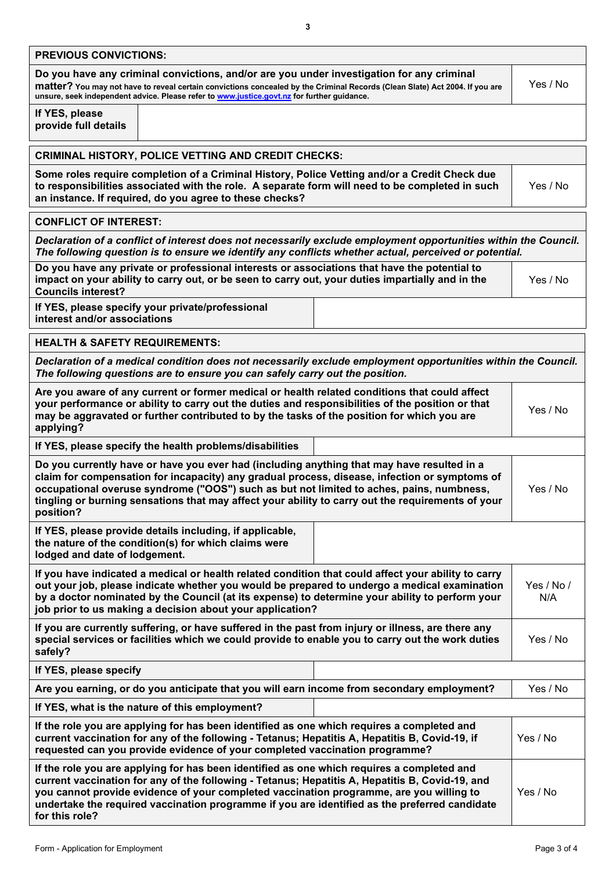| <b>PREVIOUS CONVICTIONS:</b>                                                                                                                                                                                                                                                                                                                                                                                |          |  |  |  |
|-------------------------------------------------------------------------------------------------------------------------------------------------------------------------------------------------------------------------------------------------------------------------------------------------------------------------------------------------------------------------------------------------------------|----------|--|--|--|
| Do you have any criminal convictions, and/or are you under investigation for any criminal<br>matter? You may not have to reveal certain convictions concealed by the Criminal Records (Clean Slate) Act 2004. If you are<br>unsure, seek independent advice. Please refer to www.justice.govt.nz for further guidance.                                                                                      | Yes / No |  |  |  |
| If YES, please<br>provide full details                                                                                                                                                                                                                                                                                                                                                                      |          |  |  |  |
| <b>CRIMINAL HISTORY, POLICE VETTING AND CREDIT CHECKS:</b>                                                                                                                                                                                                                                                                                                                                                  |          |  |  |  |
| Some roles require completion of a Criminal History, Police Vetting and/or a Credit Check due<br>to responsibilities associated with the role. A separate form will need to be completed in such<br>an instance. If required, do you agree to these checks?                                                                                                                                                 | Yes / No |  |  |  |
| <b>CONFLICT OF INTEREST:</b>                                                                                                                                                                                                                                                                                                                                                                                |          |  |  |  |
| Declaration of a conflict of interest does not necessarily exclude employment opportunities within the Council.<br>The following question is to ensure we identify any conflicts whether actual, perceived or potential.                                                                                                                                                                                    |          |  |  |  |
| Do you have any private or professional interests or associations that have the potential to<br>impact on your ability to carry out, or be seen to carry out, your duties impartially and in the<br><b>Councils interest?</b>                                                                                                                                                                               | Yes / No |  |  |  |
| If YES, please specify your private/professional<br>interest and/or associations                                                                                                                                                                                                                                                                                                                            |          |  |  |  |
| <b>HEALTH &amp; SAFETY REQUIREMENTS:</b>                                                                                                                                                                                                                                                                                                                                                                    |          |  |  |  |
| Declaration of a medical condition does not necessarily exclude employment opportunities within the Council.<br>The following questions are to ensure you can safely carry out the position.                                                                                                                                                                                                                |          |  |  |  |
| Are you aware of any current or former medical or health related conditions that could affect<br>your performance or ability to carry out the duties and responsibilities of the position or that<br>may be aggravated or further contributed to by the tasks of the position for which you are<br>applying?                                                                                                | Yes / No |  |  |  |
| If YES, please specify the health problems/disabilities                                                                                                                                                                                                                                                                                                                                                     |          |  |  |  |
| Do you currently have or have you ever had (including anything that may have resulted in a<br>claim for compensation for incapacity) any gradual process, disease, infection or symptoms of<br>occupational overuse syndrome ("OOS") such as but not limited to aches, pains, numbness,<br>tingling or burning sensations that may affect your ability to carry out the requirements of your<br>position?   | Yes / No |  |  |  |
| If YES, please provide details including, if applicable,<br>the nature of the condition(s) for which claims were<br>lodged and date of lodgement.                                                                                                                                                                                                                                                           |          |  |  |  |
| If you have indicated a medical or health related condition that could affect your ability to carry<br>out your job, please indicate whether you would be prepared to undergo a medical examination<br>by a doctor nominated by the Council (at its expense) to determine your ability to perform your<br>job prior to us making a decision about your application?                                         |          |  |  |  |
| If you are currently suffering, or have suffered in the past from injury or illness, are there any<br>special services or facilities which we could provide to enable you to carry out the work duties<br>safely?                                                                                                                                                                                           | Yes / No |  |  |  |
| If YES, please specify                                                                                                                                                                                                                                                                                                                                                                                      |          |  |  |  |
| Are you earning, or do you anticipate that you will earn income from secondary employment?                                                                                                                                                                                                                                                                                                                  | Yes / No |  |  |  |
| If YES, what is the nature of this employment?                                                                                                                                                                                                                                                                                                                                                              |          |  |  |  |
| If the role you are applying for has been identified as one which requires a completed and<br>current vaccination for any of the following - Tetanus; Hepatitis A, Hepatitis B, Covid-19, if<br>requested can you provide evidence of your completed vaccination programme?                                                                                                                                 | Yes / No |  |  |  |
| If the role you are applying for has been identified as one which requires a completed and<br>current vaccination for any of the following - Tetanus; Hepatitis A, Hepatitis B, Covid-19, and<br>you cannot provide evidence of your completed vaccination programme, are you willing to<br>undertake the required vaccination programme if you are identified as the preferred candidate<br>for this role? | Yes / No |  |  |  |